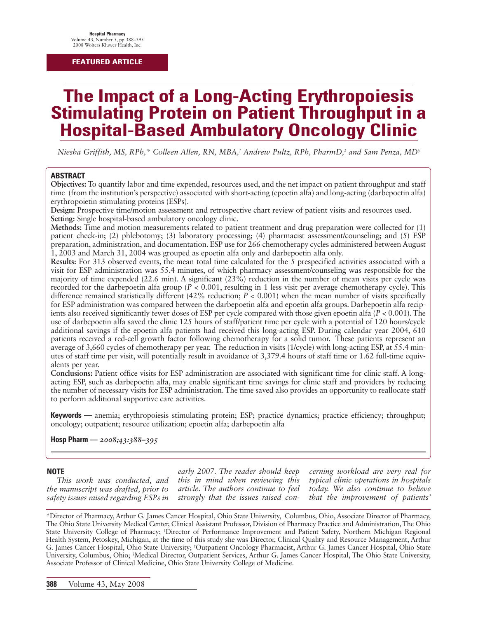#### **FEATURED ARTICLE**

# **The Impact of a Long-Acting Erythropoiesis Stimulating Protein on Patient Throughput in a Hospital-Based Ambulatory Oncology Clinic**

*Niesha Griffith, MS, RPh,\* Colleen Allen, RN, MBA,† Andrew Pultz, RPh, PharmD,‡ and Sam Penza, MD§*

#### **ABSTRACT**

**Objectives:** To quantify labor and time expended, resources used, and the net impact on patient throughput and staff time (from the institution's perspective) associated with short-acting (epoetin alfa) and long-acting (darbepoetin alfa) erythropoietin stimulating proteins (ESPs).

**Design:** Prospective time/motion assessment and retrospective chart review of patient visits and resources used. **Setting:** Single hospital-based ambulatory oncology clinic.

**Methods:** Time and motion measurements related to patient treatment and drug preparation were collected for (1) patient check-in; (2) phlebotomy; (3) laboratory processing; (4) pharmacist assessment/counseling; and (5) ESP preparation, administration, and documentation. ESP use for 266 chemotherapy cycles administered between August 1, 2003 and March 31, 2004 was grouped as epoetin alfa only and darbepoetin alfa only.

**Results:** For 313 observed events, the mean total time calculated for the 5 prespecified activities associated with a visit for ESP administration was 55.4 minutes, of which pharmacy assessment/counseling was responsible for the majority of time expended (22.6 min). A significant (23%) reduction in the number of mean visits per cycle was recorded for the darbepoetin alfa group ( $P < 0.001$ , resulting in 1 less visit per average chemotherapy cycle). This difference remained statistically different (42% reduction; *P* < 0.001) when the mean number of visits specifically for ESP administration was compared between the darbepoetin alfa and epoetin alfa groups. Darbepoetin alfa recipients also received significantly fewer doses of ESP per cycle compared with those given epoetin alfa (*P* < 0.001). The use of darbepoetin alfa saved the clinic 125 hours of staff/patient time per cycle with a potential of 120 hours/cycle additional savings if the epoetin alfa patients had received this long-acting ESP. During calendar year 2004, 610 patients received a red-cell growth factor following chemotherapy for a solid tumor. These patients represent an average of 3,660 cycles of chemotherapy per year. The reduction in visits (1/cycle) with long-acting ESP, at 55.4 minutes of staff time per visit, will potentially result in avoidance of 3,379.4 hours of staff time or 1.62 full-time equivalents per year.

**Conclusions:** Patient office visits for ESP administration are associated with significant time for clinic staff. A longacting ESP, such as darbepoetin alfa, may enable significant time savings for clinic staff and providers by reducing the number of necessary visits for ESP administration. The time saved also provides an opportunity to reallocate staff to perform additional supportive care activities.

**Keywords —** anemia; erythropoiesis stimulating protein; ESP; practice dynamics; practice efficiency; throughput; oncology; outpatient; resource utilization; epoetin alfa; darbepoetin alfa

**Hosp Pharm —** *2008;43:388–395*

#### **NOTE**

*This work was conducted, and the manuscript was drafted, prior to safety issues raised regarding ESPs in*

*early 2007. The reader should keep this in mind when reviewing this article. The authors continue to feel strongly that the issues raised con-* *cerning workload are very real for typical clinic operations in hospitals today. We also continue to believe that the improvement of patients'*

\*Director of Pharmacy, Arthur G. James Cancer Hospital, Ohio State University, Columbus, Ohio, Associate Director of Pharmacy, The Ohio State University Medical Center, Clinical Assistant Professor, Division of Pharmacy Practice and Administration, The Ohio State University College of Pharmacy; † Director of Performance Improvement and Patient Safety, Northern Michigan Regional Health System, Petoskey, Michigan, at the time of this study she was Director, Clinical Quality and Resource Management, Arthur G. James Cancer Hospital, Ohio State University; ‡ Outpatient Oncology Pharmacist, Arthur G. James Cancer Hospital, Ohio State University, Columbus, Ohio; § Medical Director, Outpatient Services, Arthur G. James Cancer Hospital, The Ohio State University, Associate Professor of Clinical Medicine, Ohio State University College of Medicine.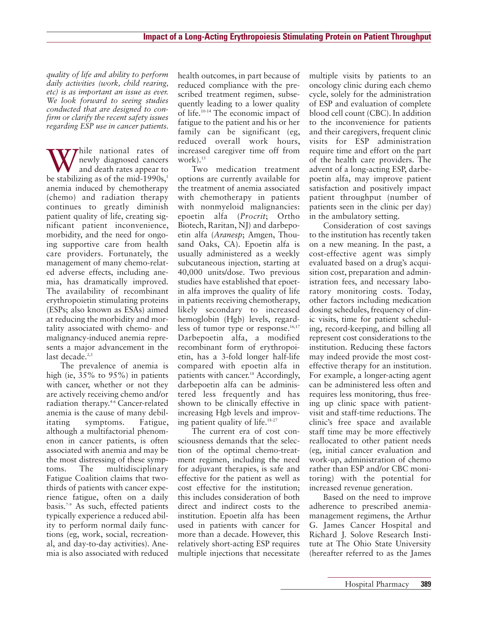*quality of life and ability to perform daily activities (work, child rearing, etc) is as important an issue as ever. We look forward to seeing studies conducted that are designed to confirm or clarify the recent safety issues regarding ESP use in cancer patients.* 

 $\tau$ hile national rates of newly diagnosed cancers and death rates appear to be stabilizing as of the mid-1990s, $\frac{1}{2}$ anemia induced by chemotherapy (chemo) and radiation therapy continues to greatly diminish patient quality of life, creating significant patient inconvenience, morbidity, and the need for ongoing supportive care from health care providers. Fortunately, the management of many chemo-related adverse effects, including anemia, has dramatically improved. The availability of recombinant erythropoietin stimulating proteins (ESPs; also known as ESAs) aimed at reducing the morbidity and mortality associated with chemo- and malignancy-induced anemia represents a major advancement in the last decade. $2,3$ 

The prevalence of anemia is high (ie, 35% to 95%) in patients with cancer, whether or not they are actively receiving chemo and/or radiation therapy.<sup>46</sup> Cancer-related anemia is the cause of many debilitating symptoms. Fatigue, although a multifactorial phenomenon in cancer patients, is often associated with anemia and may be the most distressing of these symptoms. The multidisciplinary Fatigue Coalition claims that twothirds of patients with cancer experience fatigue, often on a daily basis.<sup>7-9</sup> As such, effected patients typically experience a reduced ability to perform normal daily functions (eg, work, social, recreational, and day-to-day activities). Anemia is also associated with reduced

health outcomes, in part because of reduced compliance with the prescribed treatment regimen, subsequently leading to a lower quality of life.10-14 The economic impact of fatigue to the patient and his or her family can be significant (eg, reduced overall work hours, increased caregiver time off from work). $15$ 

Two medication treatment options are currently available for the treatment of anemia associated with chemotherapy in patients with nonmyeloid malignancies: epoetin alfa (*Procrit*; Ortho Biotech, Raritan, NJ) and darbepoetin alfa (*Aranesp*; Amgen, Thousand Oaks, CA). Epoetin alfa is usually administered as a weekly subcutaneous injection, starting at 40,000 units/dose. Two previous studies have established that epoetin alfa improves the quality of life in patients receiving chemotherapy, likely secondary to increased hemoglobin (Hgb) levels, regardless of tumor type or response. $16,17$ Darbepoetin alfa, a modified recombinant form of erythropoietin, has a 3-fold longer half-life compared with epoetin alfa in patients with cancer.<sup>18</sup> Accordingly, darbepoetin alfa can be administered less frequently and has shown to be clinically effective in increasing Hgb levels and improving patient quality of life.18-27

The current era of cost consciousness demands that the selection of the optimal chemo-treatment regimen, including the need for adjuvant therapies, is safe and effective for the patient as well as cost effective for the institution; this includes consideration of both direct and indirect costs to the institution. Epoetin alfa has been used in patients with cancer for more than a decade. However, this relatively short-acting ESP requires multiple injections that necessitate multiple visits by patients to an oncology clinic during each chemo cycle, solely for the administration of ESP and evaluation of complete blood cell count (CBC). In addition to the inconvenience for patients and their caregivers, frequent clinic visits for ESP administration require time and effort on the part of the health care providers. The advent of a long-acting ESP, darbepoetin alfa, may improve patient satisfaction and positively impact patient throughput (number of patients seen in the clinic per day) in the ambulatory setting.

Consideration of cost savings to the institution has recently taken on a new meaning. In the past, a cost-effective agent was simply evaluated based on a drug's acquisition cost, preparation and administration fees, and necessary laboratory monitoring costs. Today, other factors including medication dosing schedules, frequency of clinic visits, time for patient scheduling, record-keeping, and billing all represent cost considerations to the institution. Reducing these factors may indeed provide the most costeffective therapy for an institution. For example, a longer-acting agent can be administered less often and requires less monitoring, thus freeing up clinic space with patientvisit and staff-time reductions. The clinic's free space and available staff time may be more effectively reallocated to other patient needs (eg, initial cancer evaluation and work-up, administration of chemo rather than ESP and/or CBC monitoring) with the potential for increased revenue generation.

Based on the need to improve adherence to prescribed anemiamanagement regimens, the Arthur G. James Cancer Hospital and Richard J. Solove Research Institute at The Ohio State University (hereafter referred to as the James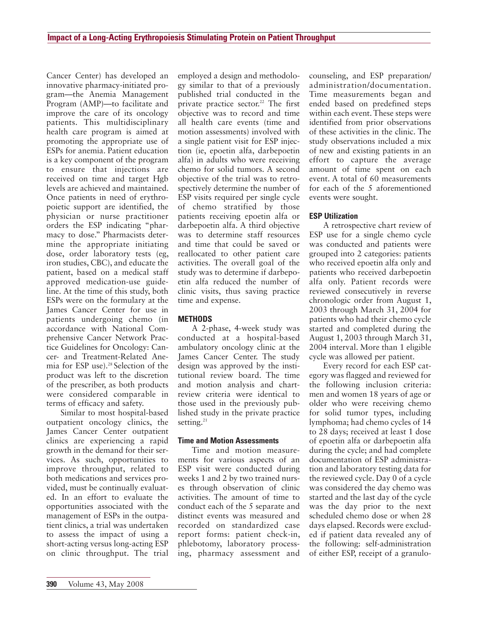Cancer Center) has developed an innovative pharmacy-initiated program—the Anemia Management Program (AMP)—to facilitate and improve the care of its oncology patients. This multidisciplinary health care program is aimed at promoting the appropriate use of ESPs for anemia. Patient education is a key component of the program to ensure that injections are received on time and target Hgb levels are achieved and maintained. Once patients in need of erythropoietic support are identified, the physician or nurse practitioner orders the ESP indicating "pharmacy to dose." Pharmacists determine the appropriate initiating dose, order laboratory tests (eg, iron studies, CBC), and educate the patient, based on a medical staff approved medication-use guideline. At the time of this study, both ESPs were on the formulary at the James Cancer Center for use in patients undergoing chemo (in accordance with National Comprehensive Cancer Network Practice Guidelines for Oncology: Cancer- and Treatment-Related Anemia for ESP use).<sup>28</sup> Selection of the product was left to the discretion of the prescriber, as both products were considered comparable in terms of efficacy and safety.

Similar to most hospital-based outpatient oncology clinics, the James Cancer Center outpatient clinics are experiencing a rapid growth in the demand for their services. As such, opportunities to improve throughput, related to both medications and services provided, must be continually evaluated. In an effort to evaluate the opportunities associated with the management of ESPs in the outpatient clinics, a trial was undertaken to assess the impact of using a short-acting versus long-acting ESP on clinic throughput. The trial

employed a design and methodology similar to that of a previously published trial conducted in the private practice sector.<sup>22</sup> The first objective was to record and time all health care events (time and motion assessments) involved with a single patient visit for ESP injection (ie, epoetin alfa, darbepoetin alfa) in adults who were receiving chemo for solid tumors. A second objective of the trial was to retrospectively determine the number of ESP visits required per single cycle of chemo stratified by those patients receiving epoetin alfa or darbepoetin alfa. A third objective was to determine staff resources and time that could be saved or reallocated to other patient care activities. The overall goal of the study was to determine if darbepoetin alfa reduced the number of clinic visits, thus saving practice time and expense.

# **METHODS**

A 2-phase, 4-week study was conducted at a hospital-based ambulatory oncology clinic at the James Cancer Center. The study design was approved by the institutional review board. The time and motion analysis and chartreview criteria were identical to those used in the previously published study in the private practice setting. $^{21}$ 

#### **Time and Motion Assessments**

Time and motion measurements for various aspects of an ESP visit were conducted during weeks 1 and 2 by two trained nurses through observation of clinic activities. The amount of time to conduct each of the 5 separate and distinct events was measured and recorded on standardized case report forms: patient check-in, phlebotomy, laboratory processing, pharmacy assessment and

counseling, and ESP preparation/ administration/documentation. Time measurements began and ended based on predefined steps within each event. These steps were identified from prior observations of these activities in the clinic. The study observations included a mix of new and existing patients in an effort to capture the average amount of time spent on each event. A total of 60 measurements for each of the 5 aforementioned events were sought.

# **ESP Utilization**

A retrospective chart review of ESP use for a single chemo cycle was conducted and patients were grouped into 2 categories: patients who received epoetin alfa only and patients who received darbepoetin alfa only. Patient records were reviewed consecutively in reverse chronologic order from August 1, 2003 through March 31, 2004 for patients who had their chemo cycle started and completed during the August 1, 2003 through March 31, 2004 interval. More than 1 eligible cycle was allowed per patient.

Every record for each ESP category was flagged and reviewed for the following inclusion criteria: men and women 18 years of age or older who were receiving chemo for solid tumor types, including lymphoma; had chemo cycles of 14 to 28 days; received at least 1 dose of epoetin alfa or darbepoetin alfa during the cycle; and had complete documentation of ESP administration and laboratory testing data for the reviewed cycle. Day 0 of a cycle was considered the day chemo was started and the last day of the cycle was the day prior to the next scheduled chemo dose or when 28 days elapsed. Records were excluded if patient data revealed any of the following: self-administration of either ESP, receipt of a granulo-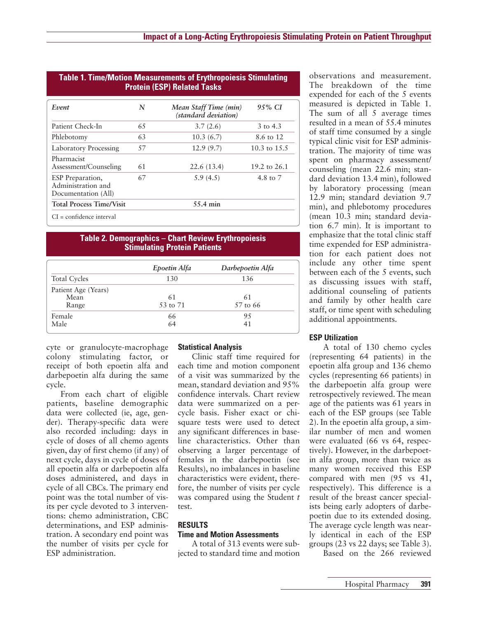| Event                                                         | N  | Mean Staff Time (min)<br>(standard deviation) | 9.5% CI        |
|---------------------------------------------------------------|----|-----------------------------------------------|----------------|
| Patient Check-In                                              | 65 | 3.7(2.6)                                      | 3 to 4.3       |
| Phlebotomy                                                    | 63 | 10.3(6.7)                                     | 8.6 to 12      |
| <b>Laboratory Processing</b>                                  | 57 | 12.9(9.7)                                     | 10.3 to $15.5$ |
| Pharmacist<br>Assessment/Counseling                           | 61 | 22.6(13.4)                                    | 19.2 to 26.1   |
| ESP Preparation,<br>Administration and<br>Documentation (All) | 67 | 5.9(4.5)                                      | 4.8 to 7       |
| <b>Total Process Time/Visit</b>                               |    | 55.4 min                                      |                |

# **Table 1. Time/Motion Measurements of Erythropoiesis Stimulating**

#### **Table 2. Demographics – Chart Review Erythropoiesis Stimulating Protein Patients**

|                     | Epoetin Alfa | Darbepoetin Alfa |
|---------------------|--------------|------------------|
| <b>Total Cycles</b> | 130          | 136              |
| Patient Age (Years) |              |                  |
| Mean                | 61           | 61               |
| Range               | 53 to 71     | 57 to 66         |
| Female              | 66           | 95               |
| Male                | 64           | 41               |

cyte or granulocyte-macrophage colony stimulating factor, or receipt of both epoetin alfa and darbepoetin alfa during the same cycle.

From each chart of eligible patients, baseline demographic data were collected (ie, age, gender). Therapy-specific data were also recorded including: days in cycle of doses of all chemo agents given, day of first chemo (if any) of next cycle, days in cycle of doses of all epoetin alfa or darbepoetin alfa doses administered, and days in cycle of all CBCs. The primary end point was the total number of visits per cycle devoted to 3 interventions: chemo administration, CBC determinations, and ESP administration. A secondary end point was the number of visits per cycle for ESP administration.

#### **Statistical Analysis**

Clinic staff time required for each time and motion component of a visit was summarized by the mean, standard deviation and 95% confidence intervals. Chart review data were summarized on a percycle basis. Fisher exact or chisquare tests were used to detect any significant differences in baseline characteristics. Other than observing a larger percentage of females in the darbepoetin (see Results), no imbalances in baseline characteristics were evident, therefore, the number of visits per cycle was compared using the Student *t* test.

#### **RESULTS**

#### **Time and Motion Assessments**

A total of 313 events were subjected to standard time and motion observations and measurement. The breakdown of the time expended for each of the 5 events measured is depicted in Table 1. The sum of all 5 average times resulted in a mean of 55.4 minutes of staff time consumed by a single typical clinic visit for ESP administration. The majority of time was spent on pharmacy assessment/ counseling (mean 22.6 min; standard deviation 13.4 min), followed by laboratory processing (mean 12.9 min; standard deviation 9.7 min), and phlebotomy procedures (mean 10.3 min; standard deviation 6.7 min). It is important to emphasize that the total clinic staff time expended for ESP administration for each patient does not include any other time spent between each of the 5 events, such as discussing issues with staff, additional counseling of patients and family by other health care staff, or time spent with scheduling additional appointments.

# **ESP Utilization**

A total of 130 chemo cycles (representing 64 patients) in the epoetin alfa group and 136 chemo cycles (representing 66 patients) in the darbepoetin alfa group were retrospectively reviewed. The mean age of the patients was 61 years in each of the ESP groups (see Table 2). In the epoetin alfa group, a similar number of men and women were evaluated (66 vs 64, respectively). However, in the darbepoetin alfa group, more than twice as many women received this ESP compared with men (95 vs 41, respectively). This difference is a result of the breast cancer specialists being early adopters of darbepoetin due to its extended dosing. The average cycle length was nearly identical in each of the ESP groups (23 vs 22 days; see Table 3).

Based on the 266 reviewed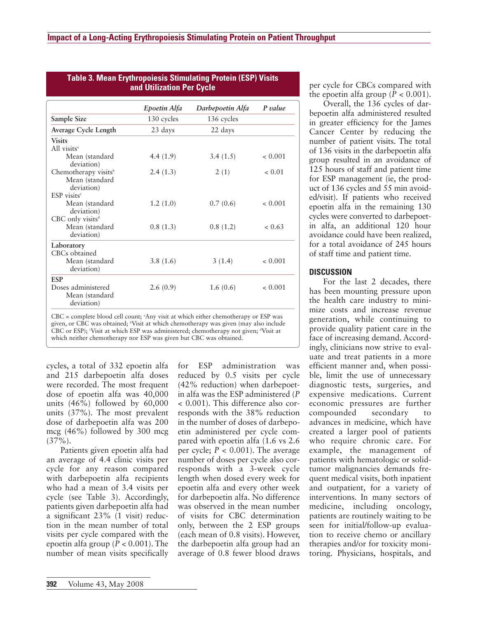|                                                                        | Epoetin Alfa | Darbepoetin Alfa | P value |  |
|------------------------------------------------------------------------|--------------|------------------|---------|--|
| Sample Size                                                            | 130 cycles   | 136 cycles       |         |  |
| Average Cycle Length                                                   | 23 days      | 22 days          |         |  |
| <b>Visits</b><br>All visits <sup>a</sup>                               |              |                  |         |  |
| Mean (standard<br>deviation)                                           | 4.4 $(1.9)$  | 3.4(1.5)         | < 0.001 |  |
| Chemotherapy visits <sup>b</sup><br>Mean (standard<br>deviation)       | 2.4(1.3)     | 2(1)             | < 0.01  |  |
| $ESP$ visits <sup><math>c</math></sup><br>Mean (standard<br>deviation) | 1.2(1.0)     | 0.7(0.6)         | < 0.001 |  |
| $CBC$ only visits <sup>d</sup><br>Mean (standard<br>deviation)         | 0.8(1.3)     | 0.8(1.2)         | < 0.63  |  |
| Laboratory<br>CBCs obtained<br>Mean (standard<br>deviation)            | 3.8(1.6)     | 3(1.4)           | < 0.001 |  |
| <b>ESP</b>                                                             |              |                  |         |  |
| Doses administered<br>Mean (standard<br>deviation)                     | 2.6(0.9)     | 1.6(0.6)         | < 0.001 |  |

| Table 3. Mean Erythropoiesis Stimulating Protein (ESP) Visits |  |  |  |  |  |
|---------------------------------------------------------------|--|--|--|--|--|
| and Utilization Per Cycle                                     |  |  |  |  |  |

 $CBC = complete blood cell count; <sup>a</sup> Any visit at which either chemotherapy or ESP was$ given, or CBC was obtained; <sup>b</sup>Visit at which chemotherapy was given (may also include CBC or ESP); Visit at which ESP was administered; chemotherapy not given; <sup>d</sup>Visit at which neither chemotherapy nor ESP was given but CBC was obtained.

cycles, a total of 332 epoetin alfa and 215 darbepoetin alfa doses were recorded. The most frequent dose of epoetin alfa was 40,000 units (46%) followed by 60,000 units (37%). The most prevalent dose of darbepoetin alfa was 200 mcg (46%) followed by 300 mcg  $(37\%)$ .

Patients given epoetin alfa had an average of 4.4 clinic visits per cycle for any reason compared with darbepoetin alfa recipients who had a mean of 3.4 visits per cycle (see Table 3). Accordingly, patients given darbepoetin alfa had a significant 23% (1 visit) reduction in the mean number of total visits per cycle compared with the epoetin alfa group (*P* < 0.001). The number of mean visits specifically

for ESP administration was reduced by 0.5 visits per cycle (42% reduction) when darbepoetin alfa was the ESP administered (*P* < 0.001). This difference also corresponds with the 38% reduction in the number of doses of darbepoetin administered per cycle compared with epoetin alfa (1.6 vs 2.6 per cycle;  $P < 0.001$ ). The average number of doses per cycle also corresponds with a 3-week cycle length when dosed every week for epoetin alfa and every other week for darbepoetin alfa. No difference was observed in the mean number of visits for CBC determination only, between the 2 ESP groups (each mean of 0.8 visits). However, the darbepoetin alfa group had an average of 0.8 fewer blood draws per cycle for CBCs compared with the epoetin alfa group ( $P < 0.001$ ).

Overall, the 136 cycles of darbepoetin alfa administered resulted in greater efficiency for the James Cancer Center by reducing the number of patient visits. The total of 136 visits in the darbepoetin alfa group resulted in an avoidance of 125 hours of staff and patient time for ESP management (ie, the product of 136 cycles and 55 min avoided/visit). If patients who received epoetin alfa in the remaining 130 cycles were converted to darbepoetin alfa, an additional 120 hour avoidance could have been realized, for a total avoidance of 245 hours of staff time and patient time.

### **DISCUSSION**

For the last 2 decades, there has been mounting pressure upon the health care industry to minimize costs and increase revenue generation, while continuing to provide quality patient care in the face of increasing demand. Accordingly, clinicians now strive to evaluate and treat patients in a more efficient manner and, when possible, limit the use of unnecessary diagnostic tests, surgeries, and expensive medications. Current economic pressures are further compounded secondary to advances in medicine, which have created a larger pool of patients who require chronic care. For example, the management of patients with hematologic or solidtumor malignancies demands frequent medical visits, both inpatient and outpatient, for a variety of interventions. In many sectors of medicine, including oncology, patients are routinely waiting to be seen for initial/follow-up evaluation to receive chemo or ancillary therapies and/or for toxicity monitoring. Physicians, hospitals, and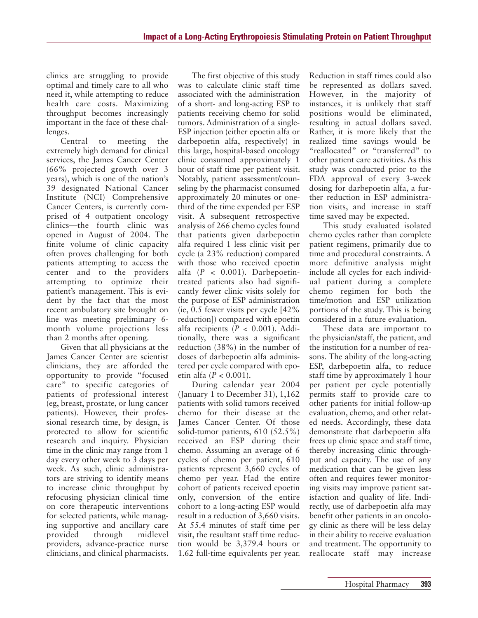clinics are struggling to provide optimal and timely care to all who need it, while attempting to reduce health care costs. Maximizing throughput becomes increasingly important in the face of these challenges.

Central to meeting the extremely high demand for clinical services, the James Cancer Center (66% projected growth over 3 years), which is one of the nation's 39 designated National Cancer Institute (NCI) Comprehensive Cancer Centers, is currently comprised of 4 outpatient oncology clinics—the fourth clinic was opened in August of 2004. The finite volume of clinic capacity often proves challenging for both patients attempting to access the center and to the providers attempting to optimize their patient's management. This is evident by the fact that the most recent ambulatory site brought on line was meeting preliminary 6 month volume projections less than 2 months after opening.

Given that all physicians at the James Cancer Center are scientist clinicians, they are afforded the opportunity to provide "focused care" to specific categories of patients of professional interest (eg, breast, prostate, or lung cancer patients). However, their professional research time, by design, is protected to allow for scientific research and inquiry. Physician time in the clinic may range from 1 day every other week to 3 days per week. As such, clinic administrators are striving to identify means to increase clinic throughput by refocusing physician clinical time on core therapeutic interventions for selected patients, while managing supportive and ancillary care provided through midlevel providers, advance-practice nurse clinicians, and clinical pharmacists.

The first objective of this study was to calculate clinic staff time associated with the administration of a short- and long-acting ESP to patients receiving chemo for solid tumors. Administration of a single-ESP injection (either epoetin alfa or darbepoetin alfa, respectively) in this large, hospital-based oncology clinic consumed approximately 1 hour of staff time per patient visit. Notably, patient assessment/counseling by the pharmacist consumed approximately 20 minutes or onethird of the time expended per ESP visit. A subsequent retrospective analysis of 266 chemo cycles found that patients given darbepoetin alfa required 1 less clinic visit per cycle (a 23% reduction) compared with those who received epoetin alfa  $(P < 0.001)$ . Darbepoetintreated patients also had significantly fewer clinic visits solely for the purpose of ESP administration (ie, 0.5 fewer visits per cycle [42% reduction]) compared with epoetin alfa recipients (*P* < 0.001). Additionally, there was a significant reduction (38%) in the number of doses of darbepoetin alfa administered per cycle compared with epoetin alfa (*P* < 0.001).

During calendar year 2004 (January 1 to December 31), 1,162 patients with solid tumors received chemo for their disease at the James Cancer Center. Of those solid-tumor patients, 610 (52.5%) received an ESP during their chemo. Assuming an average of 6 cycles of chemo per patient, 610 patients represent 3,660 cycles of chemo per year. Had the entire cohort of patients received epoetin only, conversion of the entire cohort to a long-acting ESP would result in a reduction of 3,660 visits. At 55.4 minutes of staff time per visit, the resultant staff time reduction would be 3,379.4 hours or 1.62 full-time equivalents per year.

Reduction in staff times could also be represented as dollars saved. However, in the majority of instances, it is unlikely that staff positions would be eliminated, resulting in actual dollars saved. Rather, it is more likely that the realized time savings would be "reallocated" or "transferred" to other patient care activities. As this study was conducted prior to the FDA approval of every 3-week dosing for darbepoetin alfa, a further reduction in ESP administration visits, and increase in staff time saved may be expected.

This study evaluated isolated chemo cycles rather than complete patient regimens, primarily due to time and procedural constraints. A more definitive analysis might include all cycles for each individual patient during a complete chemo regimen for both the time/motion and ESP utilization portions of the study. This is being considered in a future evaluation.

These data are important to the physician/staff, the patient, and the institution for a number of reasons. The ability of the long-acting ESP, darbepoetin alfa, to reduce staff time by approximately 1 hour per patient per cycle potentially permits staff to provide care to other patients for initial follow-up evaluation, chemo, and other related needs. Accordingly, these data demonstrate that darbepoetin alfa frees up clinic space and staff time, thereby increasing clinic throughput and capacity. The use of any medication that can be given less often and requires fewer monitoring visits may improve patient satisfaction and quality of life. Indirectly, use of darbepoetin alfa may benefit other patients in an oncology clinic as there will be less delay in their ability to receive evaluation and treatment. The opportunity to reallocate staff may increase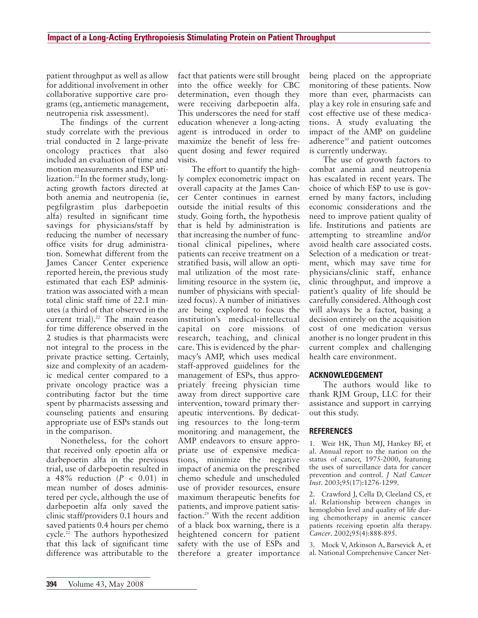patient throughput as well as allow for additional involvement in other collaborative supportive care programs (eg, antiemetic management, neutropenia risk assessment).

The findings of the current study correlate with the previous trial conducted in 2 large-private oncology practices that also included an evaluation of time and motion measurements and ESP utilization.<sup>22</sup> In the former study, longacting growth factors directed at both anemia and neutropenia (ie, pegfilgrastim plus darbepoetin alfa) resulted in significant time savings for physicians/staff by reducing the number of necessary office visits for drug administration. Somewhat different from the James Cancer Center experience reported herein, the previous study estimated that each ESP administration was associated with a mean total clinic staff time of 22.1 minutes (a third of that observed in the current trial). $22$  The main reason for time difference observed in the 2 studies is that pharmacists were not integral to the process in the private practice setting. Certainly, size and complexity of an academic medical center compared to a private oncology practice was a contributing factor but the time spent by pharmacists assessing and counseling patients and ensuring appropriate use of ESPs stands out in the comparison.

Nonetheless, for the cohort that received only epoetin alfa or darbepoetin alfa in the previous trial, use of darbepoetin resulted in a 48% reduction (*P* < 0.01) in mean number of doses administered per cycle, although the use of darbepoetin alfa only saved the clinic staff/providers 0.1 hours and saved patients 0.4 hours per chemo cycle.22 The authors hypothesized that this lack of significant time difference was attributable to the

fact that patients were still brought into the office weekly for CBC determination, even though they were receiving darbepoetin alfa. This underscores the need for staff education whenever a long-acting agent is introduced in order to maximize the benefit of less frequent dosing and fewer required visits.

The effort to quantify the highly complex econometric impact on overall capacity at the James Cancer Center continues in earnest outside the initial results of this study. Going forth, the hypothesis that is held by administration is that increasing the number of functional clinical pipelines, where patients can receive treatment on a stratified basis, will allow an optimal utilization of the most ratelimiting resource in the system (ie, number of physicians with specialized focus). A number of initiatives are being explored to focus the institution's medical-intellectual capital on core missions of research, teaching, and clinical care. This is evidenced by the pharmacy's AMP, which uses medical staff-approved guidelines for the management of ESPs, thus appropriately freeing physician time away from direct supportive care intervention, toward primary therapeutic interventions. By dedicating resources to the long-term monitoring and management, the AMP endeavors to ensure appropriate use of expensive medications, minimize the negative impact of anemia on the prescribed chemo schedule and unscheduled use of provider resources, ensure maximum therapeutic benefits for patients, and improve patient satisfaction.29 With the recent addition of a black box warning, there is a heightened concern for patient safety with the use of ESPs and therefore a greater importance

being placed on the appropriate monitoring of these patients. Now more than ever, pharmacists can play a key role in ensuring safe and cost effective use of these medications. A study evaluating the impact of the AMP on guideline adherence<sup>30</sup> and patient outcomes is currently underway.

The use of growth factors to combat anemia and neutropenia has escalated in recent years. The choice of which ESP to use is governed by many factors, including economic considerations and the need to improve patient quality of life. Institutions and patients are attempting to streamline and/or avoid health care associated costs. Selection of a medication or treatment, which may save time for physicians/clinic staff, enhance clinic throughput, and improve a patient's quality of life should be carefully considered. Although cost will always be a factor, basing a decision entirely on the acquisition cost of one medication versus another is no longer prudent in this current complex and challenging health care environment.

#### **ACKNOWLEDGEMENT**

The authors would like to thank RJM Group, LLC for their assistance and support in carrying out this study.

#### **REFERENCES**

1. Weir HK, Thun MJ, Hankey BF, et al. Annual report to the nation on the status of cancer, 1975-2000, featuring the uses of surveillance data for cancer prevention and control. *J Natl Cancer Inst*. 2003;95(17):1276-1299.

2. Crawford J, Cella D, Cleeland CS, et al. Relationship between changes in hemoglobin level and quality of life during chemotherapy in anemic cancer patients receiving epoetin alfa therapy. *Cancer*. 2002;95(4):888-895.

3. Mock V, Atkinson A, Barsevick A, et al. National Comprehensive Cancer Net